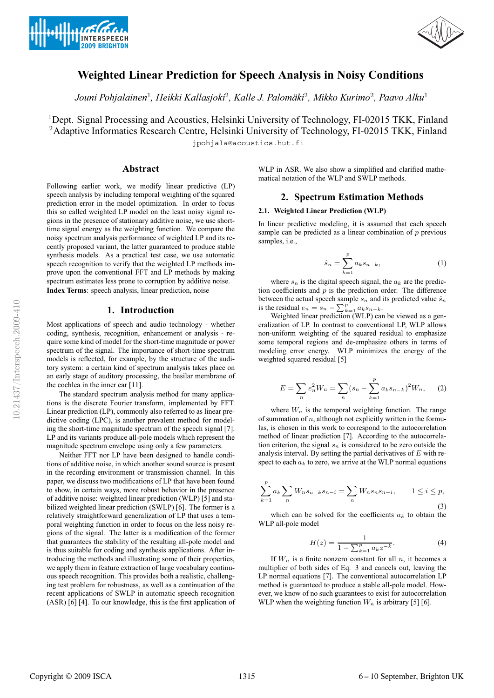



# **Weighted Linear Prediction for Speech Analysis in Noisy Conditions**

*Jouni Pohjalainen*<sup>1</sup>*, Heikki Kallasjoki*<sup>2</sup>*, Kalle J. Palomaki ¨* <sup>2</sup>*, Mikko Kurimo*<sup>2</sup>*, Paavo Alku*<sup>1</sup>

<sup>1</sup>Dept. Signal Processing and Acoustics, Helsinki University of Technology, FI-02015 TKK, Finland <sup>2</sup>Adaptive Informatics Research Centre, Helsinki University of Technology, FI-02015 TKK, Finland jpohjala@acoustics.hut.fi

**Abstract**

Following earlier work, we modify linear predictive (LP) speech analysis by including temporal weighting of the squared prediction error in the model optimization. In order to focus this so called weighted LP model on the least noisy signal regions in the presence of stationary additive noise, we use shorttime signal energy as the weighting function. We compare the noisy spectrum analysis performance of weighted LP and its recently proposed variant, the latter guaranteed to produce stable synthesis models. As a practical test case, we use automatic speech recognition to verify that the weighted LP methods improve upon the conventional FFT and LP methods by making spectrum estimates less prone to corruption by additive noise. **Index Terms**: speech analysis, linear prediction, noise

## **1. Introduction**

Most applications of speech and audio technology - whether coding, synthesis, recognition, enhancement or analysis - require some kind of model for the short-time magnitude or power spectrum of the signal. The importance of short-time spectrum models is reflected, for example, by the structure of the auditory system: a certain kind of spectrum analysis takes place on an early stage of auditory processing, the basilar membrane of the cochlea in the inner ear [11].

The standard spectrum analysis method for many applications is the discrete Fourier transform, implemented by FFT. Linear prediction (LP), commonly also referred to as linear predictive coding (LPC), is another prevalent method for modeling the short-time magnitude spectrum of the speech signal [7]. LP and its variants produce all-pole models which represent the magnitude spectrum envelope using only a few parameters.

Neither FFT nor LP have been designed to handle conditions of additive noise, in which another sound source is present in the recording environment or transmission channel. In this paper, we discuss two modifications of LP that have been found to show, in certain ways, more robust behavior in the presence of additive noise: weighted linear prediction (WLP) [5] and stabilized weighted linear prediction (SWLP) [6]. The former is a relatively straightforward generalization of LP that uses a temporal weighting function in order to focus on the less noisy regions of the signal. The latter is a modification of the former that guarantees the stability of the resulting all-pole model and is thus suitable for coding and synthesis applications. After introducing the methods and illustrating some of their properties, we apply them in feature extraction of large vocabulary continuous speech recognition. This provides both a realistic, challenging test problem for robustness, as well as a continuation of the recent applications of SWLP in automatic speech recognition (ASR) [6] [4]. To our knowledge, this is the first application of WLP in ASR. We also show a simplified and clarified mathematical notation of the WLP and SWLP methods.

### **2. Spectrum Estimation Methods**

#### **2.1. Weighted Linear Prediction (WLP)**

In linear predictive modeling, it is assumed that each speech sample can be predicted as a linear combination of  $p$  previous samples, i.e.,

$$
\hat{s}_n = \sum_{k=1}^p a_k s_{n-k},\tag{1}
$$

where  $s_n$  is the digital speech signal, the  $a_k$  are the prediction coefficients and  $p$  is the prediction order. The difference between the actual speech sample  $s_n$  and its predicted value  $\hat{s}_n$ is the residual  $e_n = s_n - \sum_{k=1}^p a_k s_{n-k}$ .

Weighted linear prediction (WLP) can be viewed as a generalization of LP. In contrast to conventional LP, WLP allows non-uniform weighting of the squared residual to emphasize some temporal regions and de-emphasize others in terms of modeling error energy. WLP minimizes the energy of the weighted squared residual [5]

$$
E = \sum_{n} e_n^2 W_n = \sum_{n} (s_n - \sum_{k=1}^p a_k s_{n-k})^2 W_n, \quad (2)
$$

where  $W_n$  is the temporal weighting function. The range of summation of  $n$ , although not explicitly written in the formulas, is chosen in this work to correspond to the autocorrelation method of linear prediction [7]. According to the autocorrelation criterion, the signal  $s_n$  is considered to be zero outside the analysis interval. By setting the partial derivatives of  $E$  with respect to each  $a_k$  to zero, we arrive at the WLP normal equations

$$
\sum_{k=1}^{p} a_k \sum_{n} W_n s_{n-k} s_{n-i} = \sum_{n} W_n s_n s_{n-i}, \qquad 1 \le i \le p,
$$
\n(3)

which can be solved for the coefficients  $a_k$  to obtain the WLP all-pole model

$$
H(z) = \frac{1}{1 - \sum_{k=1}^{p} a_k z^{-k}}.
$$
 (4)

If  $W_n$  is a finite nonzero constant for all n, it becomes a multiplier of both sides of Eq. 3 and cancels out, leaving the LP normal equations [7]. The conventional autocorrelation LP method is guaranteed to produce a stable all-pole model. However, we know of no such guarantees to exist for autocorrelation WLP when the weighting function  $W_n$  is arbitrary [5] [6].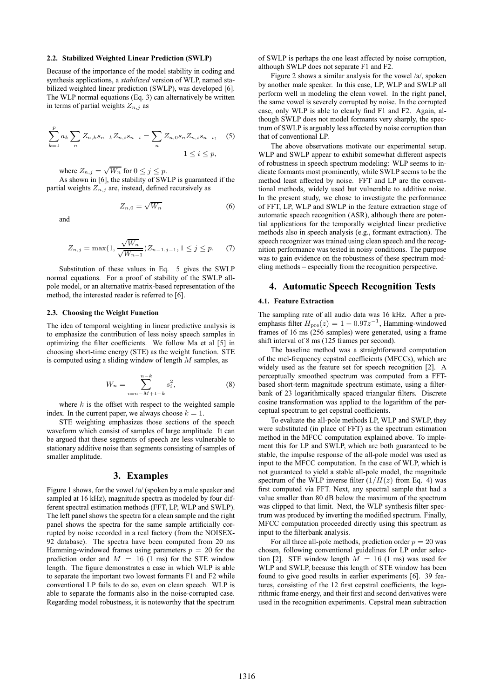#### **2.2. Stabilized Weighted Linear Prediction (SWLP)**

Because of the importance of the model stability in coding and synthesis applications, a *stabilized* version of WLP, named stabilized weighted linear prediction (SWLP), was developed [6]. The WLP normal equations (Eq. 3) can alternatively be written in terms of partial weights  $Z_{n,j}$  as

$$
\sum_{k=1}^{p} a_k \sum_{n} Z_{n,k} s_{n-k} Z_{n,i} s_{n-i} = \sum_{n} Z_{n,0} s_n Z_{n,i} s_{n-i}, \quad (5)
$$
  

$$
1 \le i \le p,
$$

where  $Z_{n,j} = \sqrt{W_n}$  for  $0 \le j \le p$ .

As shown in [6], the stability of SWLP is guaranteed if the partial weights  $Z_{n,j}$  are, instead, defined recursively as

$$
Z_{n,0} = \sqrt{W_n} \tag{6}
$$

and

$$
Z_{n,j} = \max(1, \frac{\sqrt{W_n}}{\sqrt{W_{n-1}}}) Z_{n-1,j-1}, 1 \le j \le p. \tag{7}
$$

Substitution of these values in Eq. 5 gives the SWLP normal equations. For a proof of stability of the SWLP allpole model, or an alternative matrix-based representation of the method, the interested reader is referred to [6].

#### **2.3. Choosing the Weight Function**

The idea of temporal weighting in linear predictive analysis is to emphasize the contribution of less noisy speech samples in optimizing the filter coefficients. We follow Ma et al [5] in choosing short-time energy (STE) as the weight function. STE is computed using a sliding window of length M samples, as

$$
W_n = \sum_{i=n-M+1-k}^{n-k} s_i^2,
$$
 (8)

where  $k$  is the offset with respect to the weighted sample index. In the current paper, we always choose  $k = 1$ .

STE weighting emphasizes those sections of the speech waveform which consist of samples of large amplitude. It can be argued that these segments of speech are less vulnerable to stationary additive noise than segments consisting of samples of smaller amplitude.

### **3. Examples**

Figure 1 shows, for the vowel /u/ (spoken by a male speaker and sampled at 16 kHz), magnitude spectra as modeled by four different spectral estimation methods (FFT, LP, WLP and SWLP). The left panel shows the spectra for a clean sample and the right panel shows the spectra for the same sample artificially corrupted by noise recorded in a real factory (from the NOISEX-92 database). The spectra have been computed from 20 ms Hamming-windowed frames using parameters  $p = 20$  for the prediction order and  $M = 16$  (1 ms) for the STE window length. The figure demonstrates a case in which WLP is able to separate the important two lowest formants F1 and F2 while conventional LP fails to do so, even on clean speech. WLP is able to separate the formants also in the noise-corrupted case. Regarding model robustness, it is noteworthy that the spectrum of SWLP is perhaps the one least affected by noise corruption, although SWLP does not separate F1 and F2.

Figure 2 shows a similar analysis for the vowel /a/, spoken by another male speaker. In this case, LP, WLP and SWLP all perform well in modeling the clean vowel. In the right panel, the same vowel is severely corrupted by noise. In the corrupted case, only WLP is able to clearly find F1 and F2. Again, although SWLP does not model formants very sharply, the spectrum of SWLP is arguably less affected by noise corruption than that of conventional LP.

The above observations motivate our experimental setup. WLP and SWLP appear to exhibit somewhat different aspects of robustness in speech spectrum modeling: WLP seems to indicate formants most prominently, while SWLP seems to be the method least affected by noise. FFT and LP are the conventional methods, widely used but vulnerable to additive noise. In the present study, we chose to investigate the performance of FFT, LP, WLP and SWLP in the feature extraction stage of automatic speech recognition (ASR), although there are potential applications for the temporally weighted linear predictive methods also in speech analysis (e.g., formant extraction). The speech recognizer was trained using clean speech and the recognition performance was tested in noisy conditions. The purpose was to gain evidence on the robustness of these spectrum modeling methods – especially from the recognition perspective.

### **4. Automatic Speech Recognition Tests**

#### **4.1. Feature Extraction**

The sampling rate of all audio data was 16 kHz. After a preemphasis filter  $H_{pre}(z)=1 - 0.97z^{-1}$ , Hamming-windowed frames of 16 ms (256 samples) were generated, using a frame shift interval of 8 ms (125 frames per second).

The baseline method was a straightforward computation of the mel-frequency cepstral coefficients (MFCCs), which are widely used as the feature set for speech recognition [2]. A perceptually smoothed spectrum was computed from a FFTbased short-term magnitude spectrum estimate, using a filterbank of 23 logarithmically spaced triangular filters. Discrete cosine transformation was applied to the logarithm of the perceptual spectrum to get cepstral coefficients.

To evaluate the all-pole methods LP, WLP and SWLP, they were substituted (in place of FFT) as the spectrum estimation method in the MFCC computation explained above. To implement this for LP and SWLP, which are both guaranteed to be stable, the impulse response of the all-pole model was used as input to the MFCC computation. In the case of WLP, which is not guaranteed to yield a stable all-pole model, the magnitude spectrum of the WLP inverse filter  $(1/H(z)$  from Eq. 4) was first computed via FFT. Next, any spectral sample that had a value smaller than 80 dB below the maximum of the spectrum was clipped to that limit. Next, the WLP synthesis filter spectrum was produced by inverting the modified spectrum. Finally, MFCC computation proceeded directly using this spectrum as input to the filterbank analysis.

For all three all-pole methods, prediction order  $p = 20$  was chosen, following conventional guidelines for LP order selection [2]. STE window length  $M = 16$  (1 ms) was used for WLP and SWLP, because this length of STE window has been found to give good results in earlier experiments [6]. 39 features, consisting of the 12 first cepstral coefficients, the logarithmic frame energy, and their first and second derivatives were used in the recognition experiments. Cepstral mean subtraction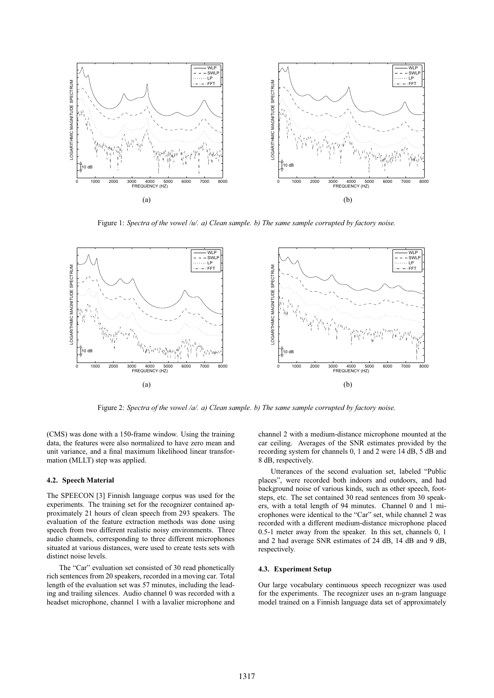

Figure 1: *Spectra of the vowel /u/. a) Clean sample. b) The same sample corrupted by factory noise.*



Figure 2: *Spectra of the vowel /a/. a) Clean sample. b) The same sample corrupted by factory noise.*

(CMS) was done with a 150-frame window. Using the training data, the features were also normalized to have zero mean and unit variance, and a final maximum likelihood linear transformation (MLLT) step was applied.

#### **4.2. Speech Material**

The SPEECON [3] Finnish language corpus was used for the experiments. The training set for the recognizer contained approximately 21 hours of clean speech from 293 speakers. The evaluation of the feature extraction methods was done using speech from two different realistic noisy environments. Three audio channels, corresponding to three different microphones situated at various distances, were used to create tests sets with distinct noise levels.

The "Car" evaluation set consisted of 30 read phonetically rich sentences from 20 speakers, recorded in a moving car. Total length of the evaluation set was 57 minutes, including the leading and trailing silences. Audio channel 0 was recorded with a headset microphone, channel 1 with a lavalier microphone and channel 2 with a medium-distance microphone mounted at the car ceiling. Averages of the SNR estimates provided by the recording system for channels 0, 1 and 2 were 14 dB, 5 dB and 8 dB, respectively.

Utterances of the second evaluation set, labeled "Public places", were recorded both indoors and outdoors, and had background noise of various kinds, such as other speech, footsteps, etc. The set contained 30 read sentences from 30 speakers, with a total length of 94 minutes. Channel 0 and 1 microphones were identical to the "Car" set, while channel 2 was recorded with a different medium-distance microphone placed 0.5-1 meter away from the speaker. In this set, channels 0, 1 and 2 had average SNR estimates of 24 dB, 14 dB and 9 dB, respectively.

#### **4.3. Experiment Setup**

Our large vocabulary continuous speech recognizer was used for the experiments. The recognizer uses an n-gram language model trained on a Finnish language data set of approximately